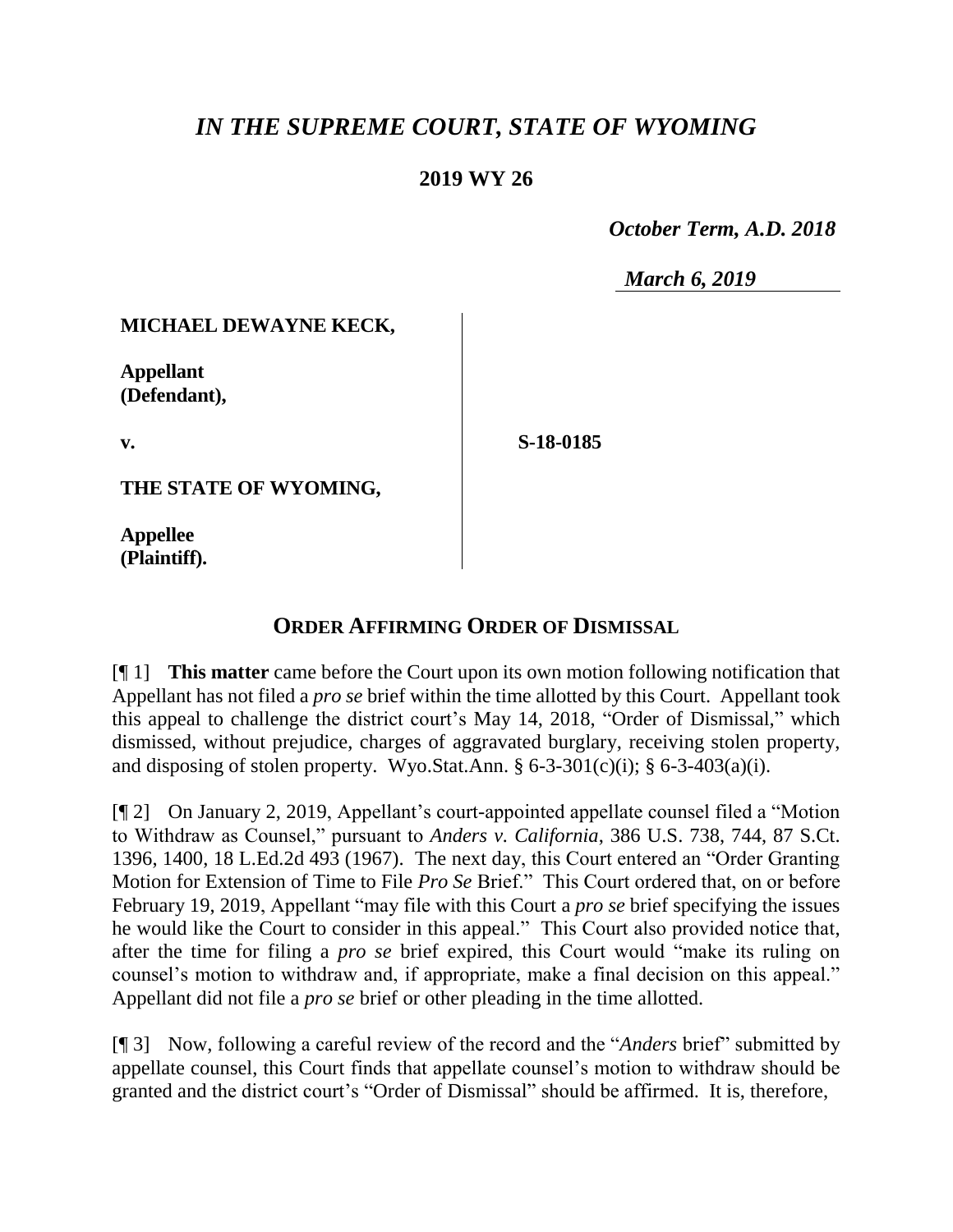# *IN THE SUPREME COURT, STATE OF WYOMING*

## **2019 WY 26**

 *October Term, A.D. 2018*

*March 6, 2019*

### **MICHAEL DEWAYNE KECK,**

**Appellant (Defendant),**

**v.**

**S-18-0185**

**THE STATE OF WYOMING,**

**Appellee (Plaintiff).**

## **ORDER AFFIRMING ORDER OF DISMISSAL**

[¶ 1] **This matter** came before the Court upon its own motion following notification that Appellant has not filed a *pro se* brief within the time allotted by this Court. Appellant took this appeal to challenge the district court's May 14, 2018, "Order of Dismissal," which dismissed, without prejudice, charges of aggravated burglary, receiving stolen property, and disposing of stolen property. Wyo.Stat.Ann.  $\S 6-3-301(c)(i)$ ;  $\S 6-3-403(a)(i)$ .

[¶ 2] On January 2, 2019, Appellant's court-appointed appellate counsel filed a "Motion to Withdraw as Counsel," pursuant to *Anders v. California*, 386 U.S. 738, 744, 87 S.Ct. 1396, 1400, 18 L.Ed.2d 493 (1967). The next day, this Court entered an "Order Granting Motion for Extension of Time to File *Pro Se* Brief." This Court ordered that, on or before February 19, 2019, Appellant "may file with this Court a *pro se* brief specifying the issues he would like the Court to consider in this appeal." This Court also provided notice that, after the time for filing a *pro se* brief expired, this Court would "make its ruling on counsel's motion to withdraw and, if appropriate, make a final decision on this appeal." Appellant did not file a *pro se* brief or other pleading in the time allotted.

[¶ 3] Now, following a careful review of the record and the "*Anders* brief" submitted by appellate counsel, this Court finds that appellate counsel's motion to withdraw should be granted and the district court's "Order of Dismissal" should be affirmed. It is, therefore,